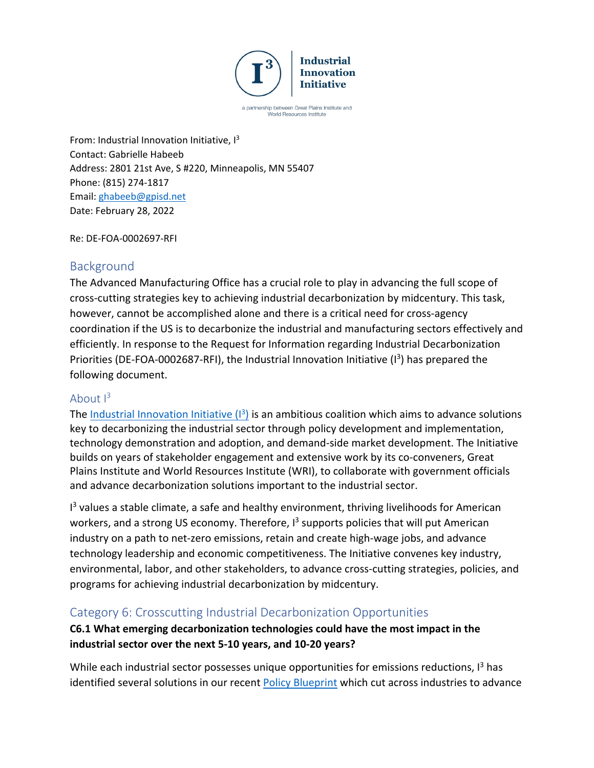

a partnership between Great Plains Institute and World Resources Institute

From: Industrial Innovation Initiative,  $I^3$ Contact: Gabrielle Habeeb Address: 2801 21st Ave, S #220, Minneapolis, MN 55407 Phone: (815) 274-1817 Email: [ghabeeb@gpisd.net](mailto:ghabeeb@gpisd.net) Date: February 28, 2022

Re: DE-FOA-0002697-RFI

## Background

The Advanced Manufacturing Office has a crucial role to play in advancing the full scope of cross-cutting strategies key to achieving industrial decarbonization by midcentury. This task, however, cannot be accomplished alone and there is a critical need for cross-agency coordination if the US is to decarbonize the industrial and manufacturing sectors effectively and efficiently. In response to the Request for Information regarding Industrial Decarbonization Priorities (DE-FOA-0002687-RFI), the Industrial Innovation Initiative  $(1^3)$  has prepared the following document.

#### About  $1^3$

The Industrial Innovation Initiative  $(1^3)$  is an ambitious coalition which aims to advance solutions key to decarbonizing the industrial sector through policy development and implementation, technology demonstration and adoption, and demand-side market development. The Initiative builds on years of stakeholder engagement and extensive work by its co-conveners, Great Plains Institute and World Resources Institute (WRI), to collaborate with government officials and advance decarbonization solutions important to the industrial sector.

<sup>13</sup> values a stable climate, a safe and healthy environment, thriving livelihoods for American workers, and a strong US economy. Therefore,  $I<sup>3</sup>$  supports policies that will put American industry on a path to net-zero emissions, retain and create high-wage jobs, and advance technology leadership and economic competitiveness. The Initiative convenes key industry, environmental, labor, and other stakeholders, to advance cross-cutting strategies, policies, and programs for achieving industrial decarbonization by midcentury.

## Category 6: Crosscutting Industrial Decarbonization Opportunities

## **C6.1 What emerging decarbonization technologies could have the most impact in the industrial sector over the next 5-10 years, and 10-20 years?**

While each industrial sector possesses unique opportunities for emissions reductions,  $I<sup>3</sup>$  has identified several solutions in our recent [Policy Blueprint](http://www.industrialinnovation.org/blueprint) which cut across industries to advance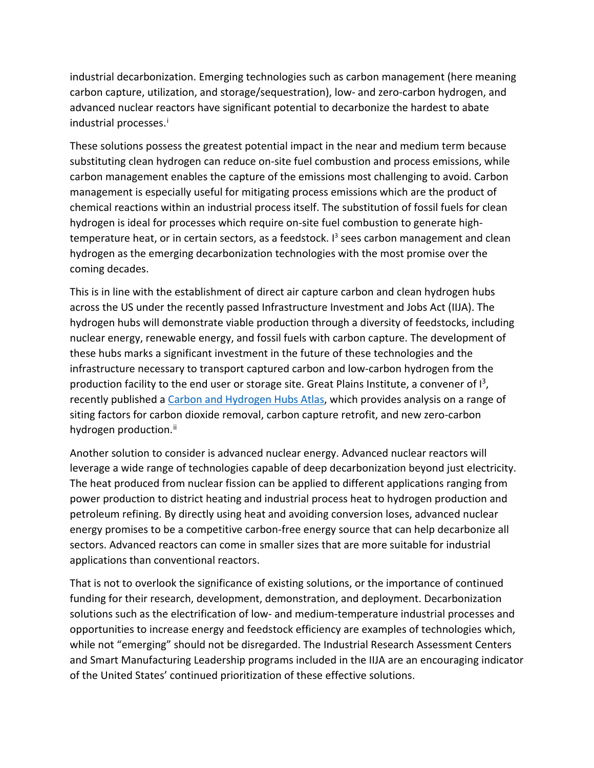industrial decarbonization. Emerging technologies such as carbon management (here meaning carbon capture, utilization, and storage/sequestration), low- and zero-carbon hydrogen, and advanced nuclear reactors have significant potential to decarbonize the hardest to abate industrial processes. [i](#page-7-0)

These solutions possess the greatest potential impact in the near and medium term because substituting clean hydrogen can reduce on-site fuel combustion and process emissions, while carbon management enables the capture of the emissions most challenging to avoid. Carbon management is especially useful for mitigating process emissions which are the product of chemical reactions within an industrial process itself. The substitution of fossil fuels for clean hydrogen is ideal for processes which require on-site fuel combustion to generate hightemperature heat, or in certain sectors, as a feedstock. I<sup>3</sup> sees carbon management and clean hydrogen as the emerging decarbonization technologies with the most promise over the coming decades.

This is in line with the establishment of direct air capture carbon and clean hydrogen hubs across the US under the recently passed Infrastructure Investment and Jobs Act (IIJA). The hydrogen hubs will demonstrate viable production through a diversity of feedstocks, including nuclear energy, renewable energy, and fossil fuels with carbon capture. The development of these hubs marks a significant investment in the future of these technologies and the infrastructure necessary to transport captured carbon and low-carbon hydrogen from the production facility to the end user or storage site. Great Plains Institute, a convener of  $I^3$ , recently published a [Carbon and Hydrogen Hubs Atlas,](https://carboncaptureready.org/) which provides analysis on a range of siting factors for carbon dioxide removal, carbon capture retrofit, and new zero-carbon hydrogen production.<sup>[ii](#page-7-1)</sup>

Another solution to consider is advanced nuclear energy. Advanced nuclear reactors will leverage a wide range of technologies capable of deep decarbonization beyond just electricity. The heat produced from nuclear fission can be applied to different applications ranging from power production to district heating and industrial process heat to hydrogen production and petroleum refining. By directly using heat and avoiding conversion loses, advanced nuclear energy promises to be a competitive carbon-free energy source that can help decarbonize all sectors. Advanced reactors can come in smaller sizes that are more suitable for industrial applications than conventional reactors.

That is not to overlook the significance of existing solutions, or the importance of continued funding for their research, development, demonstration, and deployment. Decarbonization solutions such as the electrification of low- and medium-temperature industrial processes and opportunities to increase energy and feedstock efficiency are examples of technologies which, while not "emerging" should not be disregarded. The Industrial Research Assessment Centers and Smart Manufacturing Leadership programs included in the IIJA are an encouraging indicator of the United States' continued prioritization of these effective solutions.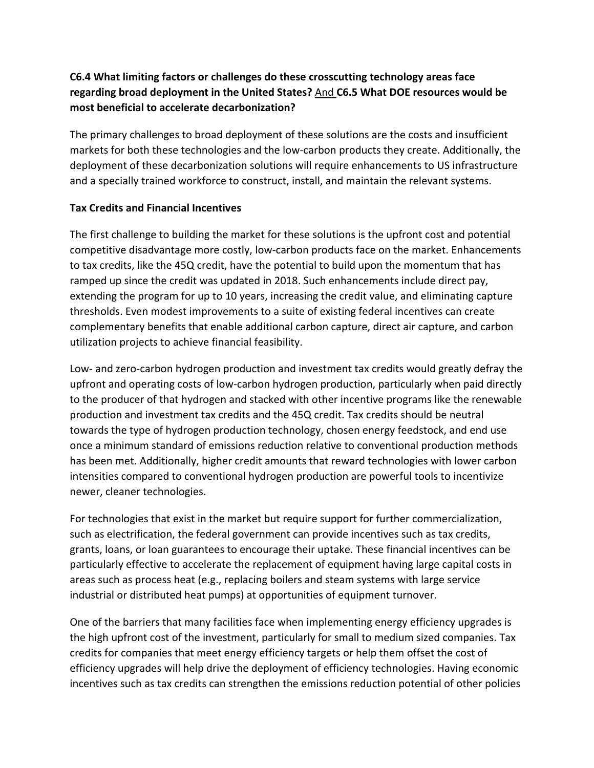## **C6.4 What limiting factors or challenges do these crosscutting technology areas face regarding broad deployment in the United States?** And **C6.5 What DOE resources would be most beneficial to accelerate decarbonization?**

The primary challenges to broad deployment of these solutions are the costs and insufficient markets for both these technologies and the low-carbon products they create. Additionally, the deployment of these decarbonization solutions will require enhancements to US infrastructure and a specially trained workforce to construct, install, and maintain the relevant systems.

#### **Tax Credits and Financial Incentives**

The first challenge to building the market for these solutions is the upfront cost and potential competitive disadvantage more costly, low-carbon products face on the market. Enhancements to tax credits, like the 45Q credit, have the potential to build upon the momentum that has ramped up since the credit was updated in 2018. Such enhancements include direct pay, extending the program for up to 10 years, increasing the credit value, and eliminating capture thresholds. Even modest improvements to a suite of existing federal incentives can create complementary benefits that enable additional carbon capture, direct air capture, and carbon utilization projects to achieve financial feasibility.

Low- and zero-carbon hydrogen production and investment tax credits would greatly defray the upfront and operating costs of low-carbon hydrogen production, particularly when paid directly to the producer of that hydrogen and stacked with other incentive programs like the renewable production and investment tax credits and the 45Q credit. Tax credits should be neutral towards the type of hydrogen production technology, chosen energy feedstock, and end use once a minimum standard of emissions reduction relative to conventional production methods has been met. Additionally, higher credit amounts that reward technologies with lower carbon intensities compared to conventional hydrogen production are powerful tools to incentivize newer, cleaner technologies.

For technologies that exist in the market but require support for further commercialization, such as electrification, the federal government can provide incentives such as tax credits, grants, loans, or loan guarantees to encourage their uptake. These financial incentives can be particularly effective to accelerate the replacement of equipment having large capital costs in areas such as process heat (e.g., replacing boilers and steam systems with large service industrial or distributed heat pumps) at opportunities of equipment turnover.

One of the barriers that many facilities face when implementing energy efficiency upgrades is the high upfront cost of the investment, particularly for small to medium sized companies. Tax credits for companies that meet energy efficiency targets or help them offset the cost of efficiency upgrades will help drive the deployment of efficiency technologies. Having economic incentives such as tax credits can strengthen the emissions reduction potential of other policies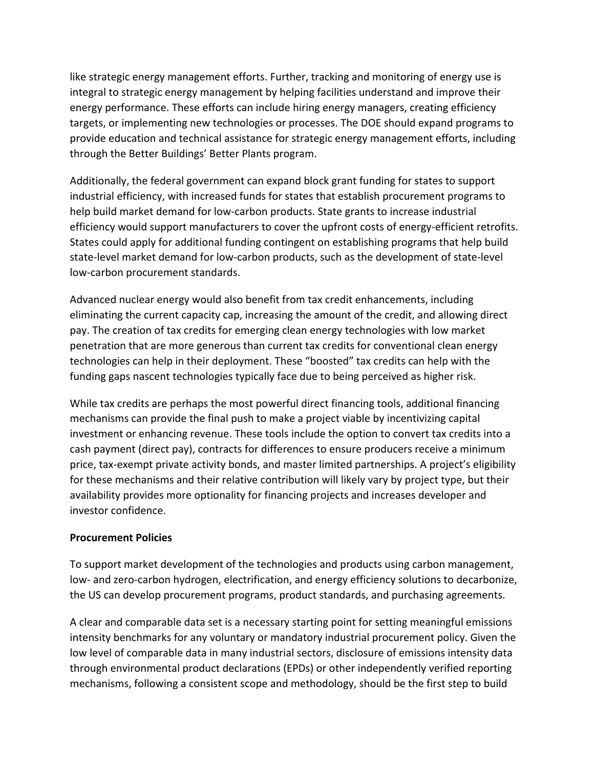like strategic energy management efforts. Further, tracking and monitoring of energy use is integral to strategic energy management by helping facilities understand and improve their energy performance. These efforts can include hiring energy managers, creating efficiency targets, or implementing new technologies or processes. The DOE should expand programs to provide education and technical assistance for strategic energy management efforts, including through the Better Buildings' Better Plants program.

Additionally, the federal government can expand block grant funding for states to support industrial efficiency, with increased funds for states that establish procurement programs to help build market demand for low-carbon products. State grants to increase industrial efficiency would support manufacturers to cover the upfront costs of energy-efficient retrofits. States could apply for additional funding contingent on establishing programs that help build state-level market demand for low-carbon products, such as the development of state-level low-carbon procurement standards.

Advanced nuclear energy would also benefit from tax credit enhancements, including eliminating the current capacity cap, increasing the amount of the credit, and allowing direct pay. The creation of tax credits for emerging clean energy technologies with low market penetration that are more generous than current tax credits for conventional clean energy technologies can help in their deployment. These "boosted" tax credits can help with the funding gaps nascent technologies typically face due to being perceived as higher risk.

While tax credits are perhaps the most powerful direct financing tools, additional financing mechanisms can provide the final push to make a project viable by incentivizing capital investment or enhancing revenue. These tools include the option to convert tax credits into a cash payment (direct pay), contracts for differences to ensure producers receive a minimum price, tax-exempt private activity bonds, and master limited partnerships. A project's eligibility for these mechanisms and their relative contribution will likely vary by project type, but their availability provides more optionality for financing projects and increases developer and investor confidence.

#### **Procurement Policies**

To support market development of the technologies and products using carbon management, low- and zero-carbon hydrogen, electrification, and energy efficiency solutions to decarbonize, the US can develop procurement programs, product standards, and purchasing agreements.

A clear and comparable data set is a necessary starting point for setting meaningful emissions intensity benchmarks for any voluntary or mandatory industrial procurement policy. Given the low level of comparable data in many industrial sectors, disclosure of emissions intensity data through environmental product declarations (EPDs) or other independently verified reporting mechanisms, following a consistent scope and methodology, should be the first step to build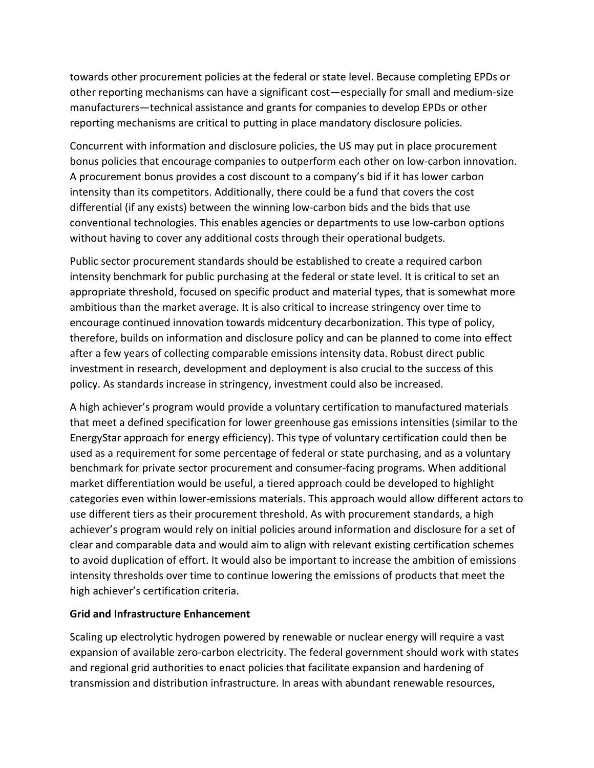towards other procurement policies at the federal or state level. Because completing EPDs or other reporting mechanisms can have a significant cost—especially for small and medium-size manufacturers—technical assistance and grants for companies to develop EPDs or other reporting mechanisms are critical to putting in place mandatory disclosure policies.

Concurrent with information and disclosure policies, the US may put in place procurement bonus policies that encourage companies to outperform each other on low-carbon innovation. A procurement bonus provides a cost discount to a company's bid if it has lower carbon intensity than its competitors. Additionally, there could be a fund that covers the cost differential (if any exists) between the winning low-carbon bids and the bids that use conventional technologies. This enables agencies or departments to use low-carbon options without having to cover any additional costs through their operational budgets.

Public sector procurement standards should be established to create a required carbon intensity benchmark for public purchasing at the federal or state level. It is critical to set an appropriate threshold, focused on specific product and material types, that is somewhat more ambitious than the market average. It is also critical to increase stringency over time to encourage continued innovation towards midcentury decarbonization. This type of policy, therefore, builds on information and disclosure policy and can be planned to come into effect after a few years of collecting comparable emissions intensity data. Robust direct public investment in research, development and deployment is also crucial to the success of this policy. As standards increase in stringency, investment could also be increased.

A high achiever's program would provide a voluntary certification to manufactured materials that meet a defined specification for lower greenhouse gas emissions intensities (similar to the EnergyStar approach for energy efficiency). This type of voluntary certification could then be used as a requirement for some percentage of federal or state purchasing, and as a voluntary benchmark for private sector procurement and consumer-facing programs. When additional market differentiation would be useful, a tiered approach could be developed to highlight categories even within lower-emissions materials. This approach would allow different actors to use different tiers as their procurement threshold. As with procurement standards, a high achiever's program would rely on initial policies around information and disclosure for a set of clear and comparable data and would aim to align with relevant existing certification schemes to avoid duplication of effort. It would also be important to increase the ambition of emissions intensity thresholds over time to continue lowering the emissions of products that meet the high achiever's certification criteria.

#### **Grid and Infrastructure Enhancement**

Scaling up electrolytic hydrogen powered by renewable or nuclear energy will require a vast expansion of available zero-carbon electricity. The federal government should work with states and regional grid authorities to enact policies that facilitate expansion and hardening of transmission and distribution infrastructure. In areas with abundant renewable resources,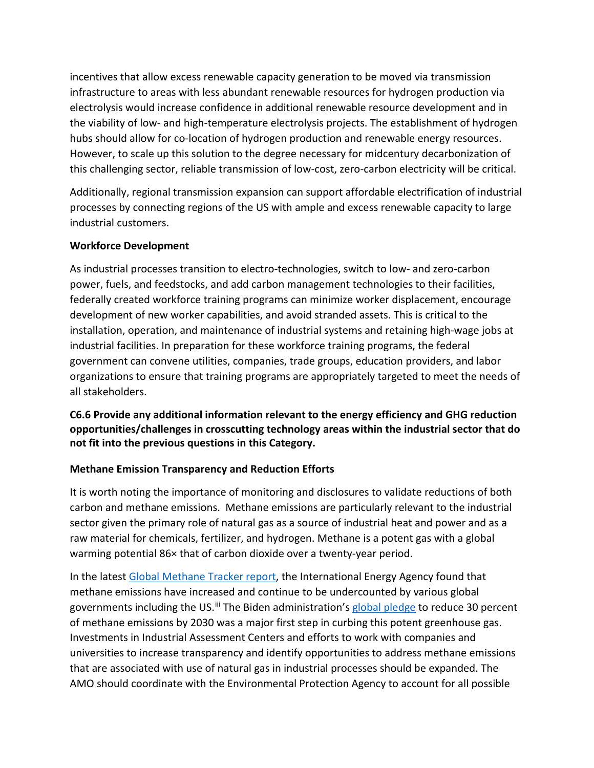incentives that allow excess renewable capacity generation to be moved via transmission infrastructure to areas with less abundant renewable resources for hydrogen production via electrolysis would increase confidence in additional renewable resource development and in the viability of low- and high-temperature electrolysis projects. The establishment of hydrogen hubs should allow for co-location of hydrogen production and renewable energy resources. However, to scale up this solution to the degree necessary for midcentury decarbonization of this challenging sector, reliable transmission of low-cost, zero-carbon electricity will be critical.

Additionally, regional transmission expansion can support affordable electrification of industrial processes by connecting regions of the US with ample and excess renewable capacity to large industrial customers.

#### **Workforce Development**

As industrial processes transition to electro-technologies, switch to low- and zero-carbon power, fuels, and feedstocks, and add carbon management technologies to their facilities, federally created workforce training programs can minimize worker displacement, encourage development of new worker capabilities, and avoid stranded assets. This is critical to the installation, operation, and maintenance of industrial systems and retaining high-wage jobs at industrial facilities. In preparation for these workforce training programs, the federal government can convene utilities, companies, trade groups, education providers, and labor organizations to ensure that training programs are appropriately targeted to meet the needs of all stakeholders.

## **C6.6 Provide any additional information relevant to the energy efficiency and GHG reduction opportunities/challenges in crosscutting technology areas within the industrial sector that do not fit into the previous questions in this Category.**

#### **Methane Emission Transparency and Reduction Efforts**

It is worth noting the importance of monitoring and disclosures to validate reductions of both carbon and methane emissions. Methane emissions are particularly relevant to the industrial sector given the primary role of natural gas as a source of industrial heat and power and as a raw material for chemicals, fertilizer, and hydrogen. Methane is a potent gas with a global warming potential 86× that of carbon dioxide over a twenty-year period.

In the latest [Global Methane Tracker report,](https://nam12.safelinks.protection.outlook.com/?url=https%3A%2F%2Fwww.iea.org%2Freports%2Fglobal-methane-tracker-2022%2Foverview&data=04%7C01%7Cmtesfaye%40bipartisanpolicy.org%7C5d810193d195466ba10308d9f7b5a88f%7Cded18c87778b4b98962e994cc2278437%7C0%7C0%7C637813181887839592%7CUnknown%7CTWFpbGZsb3d8eyJWIjoiMC4wLjAwMDAiLCJQIjoiV2luMzIiLCJBTiI6Ik1haWwiLCJXVCI6Mn0%3D%7C3000&sdata=GeALHhmH4jyUz2oo5W5T97g2hzRhVDp7UdC0ageJSvs%3D&reserved=0) the International Energy Agency found that methane emissions have increased and continue to be undercounted by various global governments including the US.<sup>[iii](#page-7-2)</sup> The Biden administration's [global pledge](https://nam12.safelinks.protection.outlook.com/?url=https%3A%2F%2Fwww.whitehouse.gov%2Fbriefing-room%2Fstatements-releases%2F2021%2F11%2F02%2Ffact-sheet-president-biden-tackles-methane-emissions-spurs-innovations-and-supports-sustainable-agriculture-to-build-a-clean-energy-economy-and-create-jobs%2F&data=04%7C01%7Cmtesfaye%40bipartisanpolicy.org%7C5d810193d195466ba10308d9f7b5a88f%7Cded18c87778b4b98962e994cc2278437%7C0%7C0%7C637813181887996351%7CUnknown%7CTWFpbGZsb3d8eyJWIjoiMC4wLjAwMDAiLCJQIjoiV2luMzIiLCJBTiI6Ik1haWwiLCJXVCI6Mn0%3D%7C3000&sdata=DU0rZd8MBC7BBpzmX1U6zu3%2FYlwdgUpevdVYRkREYlg%3D&reserved=0) to reduce 30 percent of methane emissions by 2030 was a major first step in curbing this potent greenhouse gas. Investments in Industrial Assessment Centers and efforts to work with companies and universities to increase transparency and identify opportunities to address methane emissions that are associated with use of natural gas in industrial processes should be expanded. The AMO should coordinate with the Environmental Protection Agency to account for all possible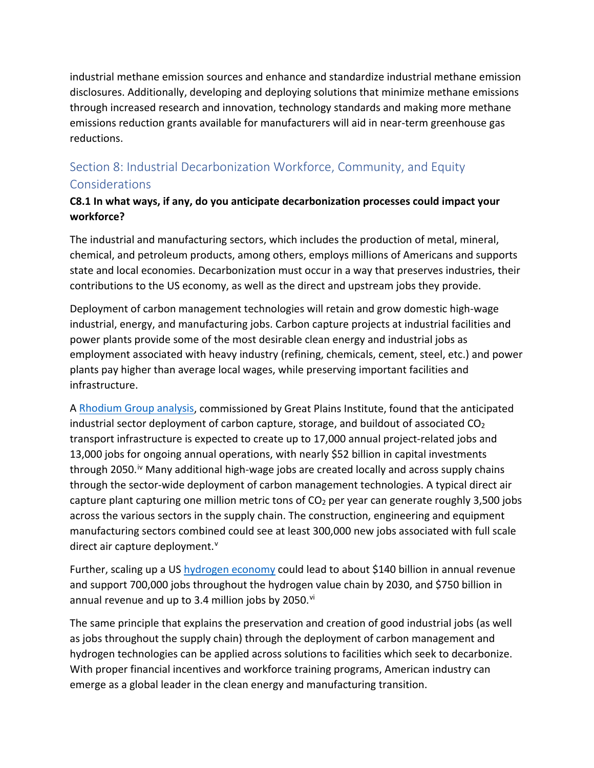industrial methane emission sources and enhance and standardize industrial methane emission disclosures. Additionally, developing and deploying solutions that minimize methane emissions through increased research and innovation, technology standards and making more methane emissions reduction grants available for manufacturers will aid in near-term greenhouse gas reductions.

# Section 8: Industrial Decarbonization Workforce, Community, and Equity Considerations

## **C8.1 In what ways, if any, do you anticipate decarbonization processes could impact your workforce?**

The industrial and manufacturing sectors, which includes the production of metal, mineral, chemical, and petroleum products, among others, employs millions of Americans and supports state and local economies. Decarbonization must occur in a way that preserves industries, their contributions to the US economy, as well as the direct and upstream jobs they provide.

Deployment of carbon management technologies will retain and grow domestic high-wage industrial, energy, and manufacturing jobs. Carbon capture projects at industrial facilities and power plants provide some of the most desirable clean energy and industrial jobs as employment associated with heavy industry (refining, chemicals, cement, steel, etc.) and power plants pay higher than average local wages, while preserving important facilities and infrastructure.

A [Rhodium Group analysis,](https://rhg.com/research/state-ccs/) commissioned by Great Plains Institute, found that the anticipated industrial sector deployment of carbon capture, storage, and buildout of associated  $CO<sub>2</sub>$ transport infrastructure is expected to create up to 17,000 annual project-related jobs and 13,000 jobs for ongoing annual operations, with nearly \$52 billion in capital investments through 2050.<sup>[iv](#page-7-3)</sup> Many additional high-wage jobs are created locally and across supply chains through the sector-wide deployment of carbon management technologies. A typical direct air capture plant capturing one million metric tons of  $CO<sub>2</sub>$  per year can generate roughly 3,500 jobs across the various sectors in the supply chain. The construction, engineering and equipment manufacturing sectors combined could see at least 300,000 new jobs associated with full scale direct air capture deployment.<sup>[v](#page-7-4)</sup>

Further, scaling up a US [hydrogen economy](https://www.fchea.org/us-hydrogen-study) could lead to about \$140 billion in annual revenue and support 700,000 jobs throughout the hydrogen value chain by 2030, and \$750 billion in annual revenue and up to 3.4 million jobs by 2050.<sup>[vi](#page-7-5)</sup>

The same principle that explains the preservation and creation of good industrial jobs (as well as jobs throughout the supply chain) through the deployment of carbon management and hydrogen technologies can be applied across solutions to facilities which seek to decarbonize. With proper financial incentives and workforce training programs, American industry can emerge as a global leader in the clean energy and manufacturing transition.